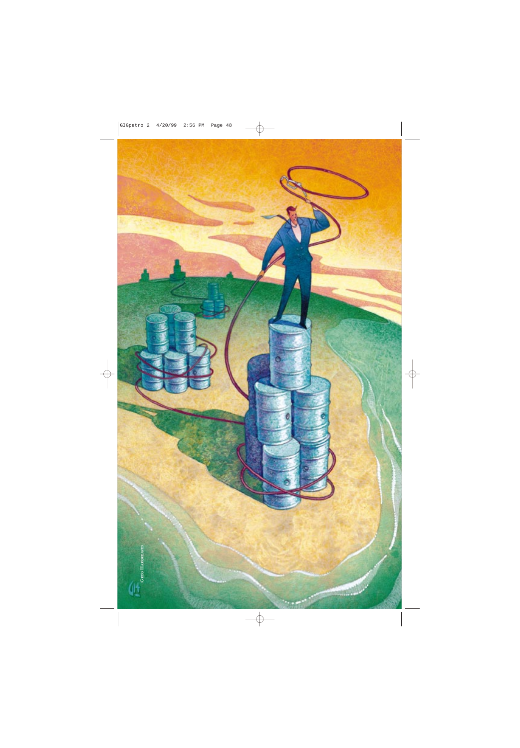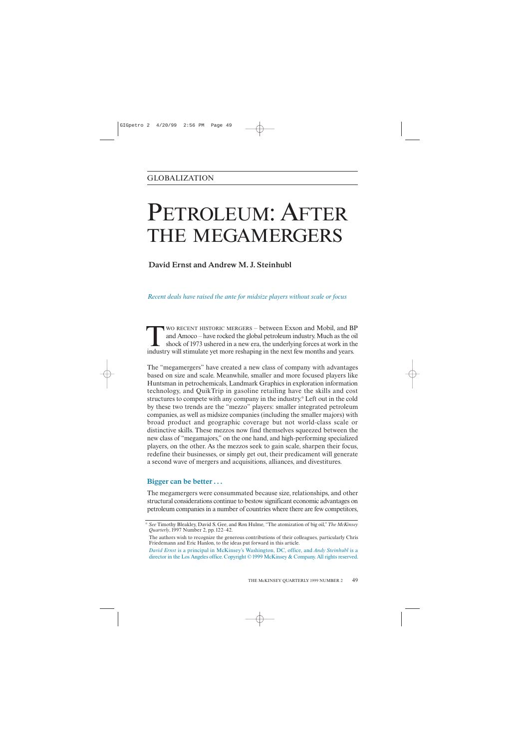# PETROLEUM: AFTER THE MEGAMERGERS

### **David Ernst and Andrew M. J. Steinhubl**

*Recent deals have raised the ante for midsize players without scale or focus*

WO RECENT HISTORIC MERGERS – between Exxon and Mobil, and BP and Amoco – have rocked the global petroleum industry. Much as the oil shock of 1973 ushered in a new era, the underlying forces at work in the WO RECENT HISTORIC MERGERS – between Exxon and Mobil, and B and Amoco – have rocked the global petroleum industry. Much as the of shock of 1973 ushered in a new era, the underlying forces at work in the industry will stimu

The "megamergers" have created a new class of company with advantages based on size and scale. Meanwhile, smaller and more focused players like Huntsman in petrochemicals, Landmark Graphics in exploration information technology, and QuikTrip in gasoline retailing have the skills and cost structures to compete with any company in the industry.\* Left out in the cold by these two trends are the "mezzo" players: smaller integrated petroleum companies, as well as midsize companies (including the smaller majors) with broad product and geographic coverage but not world-class scale or distinctive skills. These mezzos now find themselves squeezed between the new class of "megamajors," on the one hand, and high-performing specialized players, on the other. As the mezzos seek to gain scale, sharpen their focus, redefine their businesses, or simply get out, their predicament will generate a second wave of mergers and acquisitions, alliances, and divestitures.

#### **Bigger can be better . . .**

The megamergers were consummated because size, relationships, and other structural considerations continue to bestow significant economic advantages on petroleum companies in a number of countries where there are few competitors,

<sup>\*</sup> *See* Timothy Bleakley, David S. Gee, and Ron Hulme, "The atomization of big oil," *The McKinsey Quarterly*, 1997 Number 2, pp. 122–42.

The authors wish to recognize the generous contributions of their colleagues, particularly Chris Friedemann and Eric Hanlon, to the ideas put forward in this article.

*David Ernst* is a principal in McKinsey's Washington, DC, office, and *Andy Steinhubl* is a director in the Los Angeles office. Copyright © 1999 McKinsey & Company. All rights reserved.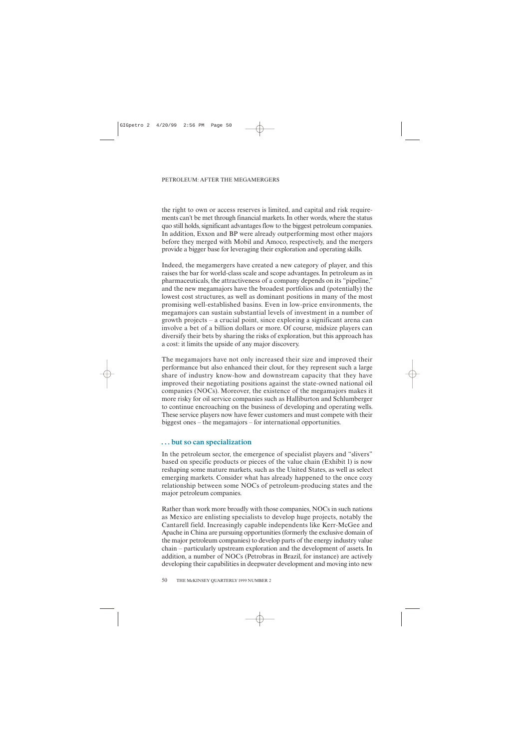#### PETROLEUM: AFTER THE MEGAMERGERS

the right to own or access reserves is limited, and capital and risk requirements can't be met through financial markets. In other words, where the status quo still holds, significant advantages flow to the biggest petroleum companies. In addition, Exxon and BP were already outperforming most other majors before they merged with Mobil and Amoco, respectively, and the mergers provide a bigger base for leveraging their exploration and operating skills.

Indeed, the megamergers have created a new category of player, and this raises the bar for world-class scale and scope advantages. In petroleum as in pharmaceuticals, the attractiveness of a company depends on its "pipeline," and the new megamajors have the broadest portfolios and (potentially) the lowest cost structures, as well as dominant positions in many of the most promising well-established basins. Even in low-price environments, the megamajors can sustain substantial levels of investment in a number of growth projects – a crucial point, since exploring a significant arena can involve a bet of a billion dollars or more. Of course, midsize players can diversify their bets by sharing the risks of exploration, but this approach has a cost: it limits the upside of any major discovery.

The megamajors have not only increased their size and improved their performance but also enhanced their clout, for they represent such a large share of industry know-how and downstream capacity that they have improved their negotiating positions against the state-owned national oil companies (NOCs). Moreover, the existence of the megamajors makes it more risky for oil service companies such as Halliburton and Schlumberger to continue encroaching on the business of developing and operating wells. These service players now have fewer customers and must compete with their biggest ones – the megamajors – for international opportunities.

#### **. . . but so can specialization**

In the petroleum sector, the emergence of specialist players and "slivers" based on specific products or pieces of the value chain (Exhibit 1) is now reshaping some mature markets, such as the United States, as well as select emerging markets. Consider what has already happened to the once cozy relationship between some NOCs of petroleum-producing states and the major petroleum companies.

Rather than work more broadly with those companies, NOCs in such nations as Mexico are enlisting specialists to develop huge projects, notably the Cantarell field. Increasingly capable independents like Kerr-McGee and Apache in China are pursuing opportunities (formerly the exclusive domain of the major petroleum companies) to develop parts of the energy industry value chain – particularly upstream exploration and the development of assets. In addition, a number of NOCs (Petrobras in Brazil, for instance) are actively developing their capabilities in deepwater development and moving into new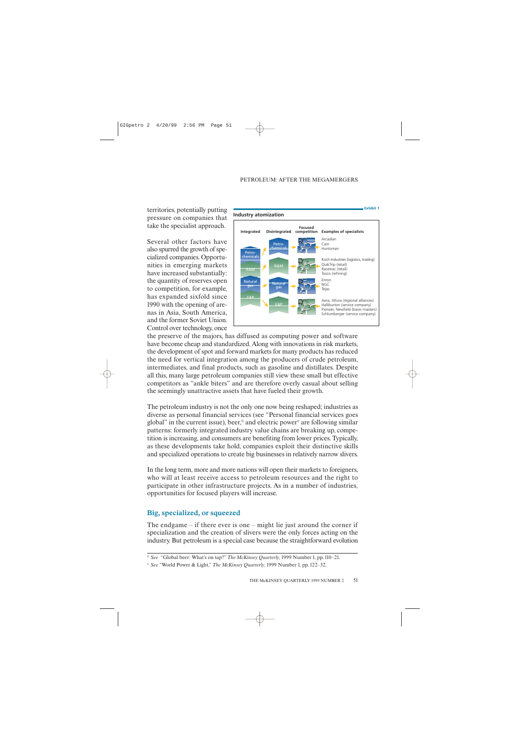territories, potentially putting pressure on companies that take the specialist approach.

Several other factors have also spurred the growth of specialized companies. Opportunities in emerging markets have increased substantially: the quantity of reserves open to competition, for example, has expanded sixfold since 1990 with the opening of arenas in Asia, South America, and the former Soviet Union. Control over technology, once



the preserve of the majors, has diffused as computing power and software have become cheap and standardized. Along with innovations in risk markets, the development of spot and forward markets for many products has reduced the need for vertical integration among the producers of crude petroleum, intermediates, and final products, such as gasoline and distillates. Despite all this, many large petroleum companies still view these small but effective competitors as "ankle biters" and are therefore overly casual about selling the seemingly unattractive assets that have fueled their growth.

The petroleum industry is not the only one now being reshaped; industries as diverse as personal financial services (see "Personal financial services goes global" in the current issue), beer,\* and electric power† are following similar patterns: formerly integrated industry value chains are breaking up, competition is increasing, and consumers are benefiting from lower prices. Typically, as these developments take hold, companies exploit their distinctive skills and specialized operations to create big businesses in relatively narrow slivers.

In the long term, more and more nations will open their markets to foreigners, who will at least receive access to petroleum resources and the right to participate in other infrastructure projects. As in a number of industries, opportunities for focused players will increase.

#### **Big, specialized, or squeezed**

The endgame – if there ever is one – might lie just around the corner if specialization and the creation of slivers were the only forces acting on the industry. But petroleum is a special case because the straightforward evolution

<sup>\*</sup> *See* "Global beer: What's on tap?" *The McKinsey Quarterly*, 1999 Number 1, pp. 110–21.

<sup>†</sup> *See* "World Power & Light," *The McKinsey Quarterly*, 1999 Number 1, pp. 122–32.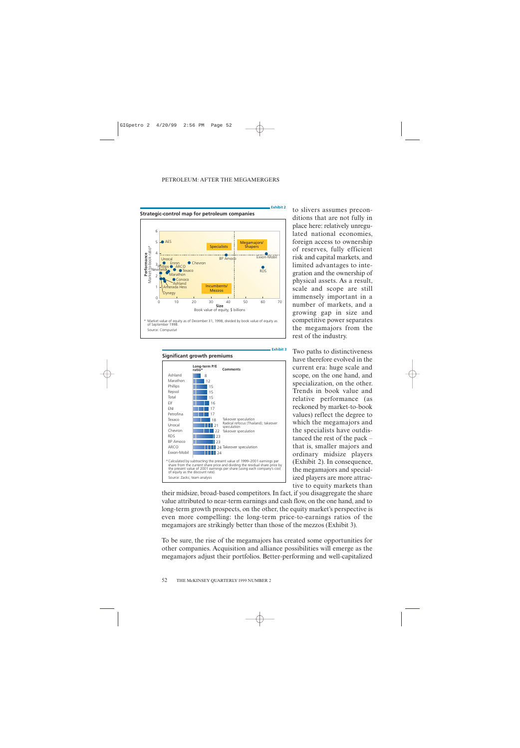

Source: Compustat



to slivers assumes preconditions that are not fully in place here: relatively unregulated national economies, foreign access to ownership of reserves, fully efficient risk and capital markets, and limited advantages to integration and the ownership of physical assets. As a result, scale and scope are still immensely important in a number of markets, and a growing gap in size and competitive power separates the megamajors from the rest of the industry.

Two paths to distinctiveness have therefore evolved in the current era: huge scale and scope, on the one hand, and specialization, on the other. Trends in book value and relative performance (as reckoned by market-to-book values) reflect the degree to which the megamajors and the specialists have outdistanced the rest of the pack – that is, smaller majors and ordinary midsize players (Exhibit 2). In consequence, the megamajors and specialized players are more attractive to equity markets than

their midsize, broad-based competitors. In fact, if you disaggregate the share value attributed to near-term earnings and cash flow, on the one hand, and to long-term growth prospects, on the other, the equity market's perspective is even more compelling: the long-term price-to-earnings ratios of the megamajors are strikingly better than those of the mezzos (Exhibit 3).

To be sure, the rise of the megamajors has created some opportunities for other companies. Acquisition and alliance possibilities will emerge as the megamajors adjust their portfolios. Better-performing and well-capitalized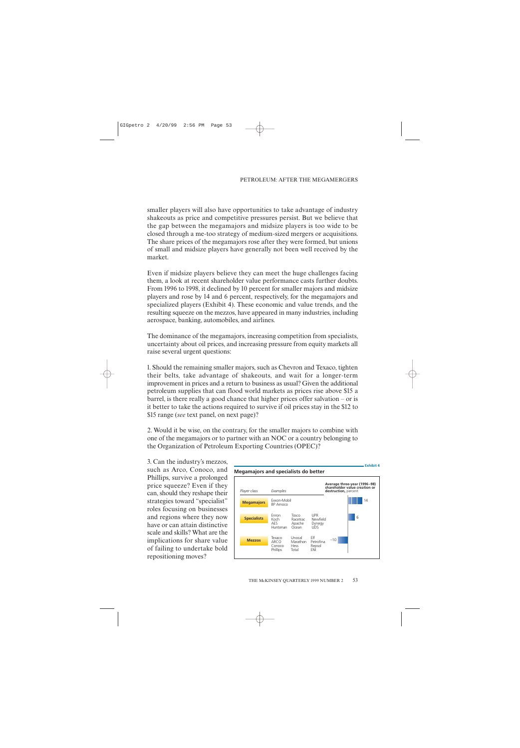smaller players will also have opportunities to take advantage of industry shakeouts as price and competitive pressures persist. But we believe that the gap between the megamajors and midsize players is too wide to be closed through a me-too strategy of medium-sized mergers or acquisitions. The share prices of the megamajors rose after they were formed, but unions of small and midsize players have generally not been well received by the market.

Even if midsize players believe they can meet the huge challenges facing them, a look at recent shareholder value performance casts further doubts. From 1996 to 1998, it declined by 10 percent for smaller majors and midsize players and rose by 14 and 6 percent, respectively, for the megamajors and specialized players (Exhibit 4). These economic and value trends, and the resulting squeeze on the mezzos, have appeared in many industries, including aerospace, banking, automobiles, and airlines.

The dominance of the megamajors, increasing competition from specialists, uncertainty about oil prices, and increasing pressure from equity markets all raise several urgent questions:

1. Should the remaining smaller majors, such as Chevron and Texaco, tighten their belts, take advantage of shakeouts, and wait for a longer-term improvement in prices and a return to business as usual? Given the additional petroleum supplies that can flood world markets as prices rise above \$15 a barrel, is there really a good chance that higher prices offer salvation – or is it better to take the actions required to survive if oil prices stay in the \$12 to \$15 range (*see* text panel, on next page)?

2. Would it be wise, on the contrary, for the smaller majors to combine with one of the megamajors or to partner with an NOC or a country belonging to the Organization of Petroleum Exporting Countries (OPEC)?

3. Can the industry's mezzos, such as Arco, Conoco, and Phillips, survive a prolonged price squeeze? Even if they can, should they reshape their strategies toward "specialist" roles focusing on businesses and regions where they now have or can attain distinctive scale and skills? What are the implications for share value of failing to undertake bold repositioning moves?

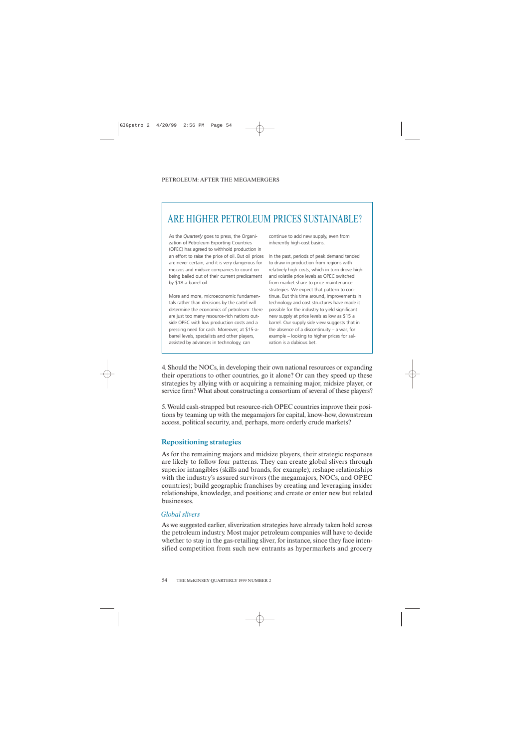## ARE HIGHER PETROLEUM PRICES SUSTAINABLE?

As the *Quarterly* goes to press, the Organization of Petroleum Exporting Countries (OPEC) has agreed to withhold production in an effort to raise the price of oil. But oil prices are never certain, and it is very dangerous for mezzos and midsize companies to count on being bailed out of their current predicament by \$18-a-barrel oil.

More and more, microeconomic fundamentals rather than decisions by the cartel will determine the economics of petroleum: there are just too many resource-rich nations outside OPEC with low production costs and a pressing need for cash. Moreover, at \$15-abarrel levels, specialists and other players, assisted by advances in technology, can

continue to add new supply, even from inherently high-cost basins.

In the past, periods of peak demand tended to draw in production from regions with relatively high costs, which in turn drove high and volatile price levels as OPEC switched from market-share to price-maintenance strategies. We expect that pattern to continue. But this time around, improvements in technology and cost structures have made it possible for the industry to yield significant new supply at price levels as low as \$15 a barrel. Our supply side view suggests that in the absence of a discontinuity – a war, for example – looking to higher prices for salvation is a dubious bet.

4. Should the NOCs, in developing their own national resources or expanding their operations to other countries, go it alone? Or can they speed up these strategies by allying with or acquiring a remaining major, midsize player, or service firm? What about constructing a consortium of several of these players?

5. Would cash-strapped but resource-rich OPEC countries improve their positions by teaming up with the megamajors for capital, know-how, downstream access, political security, and, perhaps, more orderly crude markets?

#### **Repositioning strategies**

As for the remaining majors and midsize players, their strategic responses are likely to follow four patterns. They can create global slivers through superior intangibles (skills and brands, for example); reshape relationships with the industry's assured survivors (the megamajors, NOCs, and OPEC countries); build geographic franchises by creating and leveraging insider relationships, knowledge, and positions; and create or enter new but related businesses.

#### *Global slivers*

As we suggested earlier, sliverization strategies have already taken hold across the petroleum industry. Most major petroleum companies will have to decide whether to stay in the gas-retailing sliver, for instance, since they face intensified competition from such new entrants as hypermarkets and grocery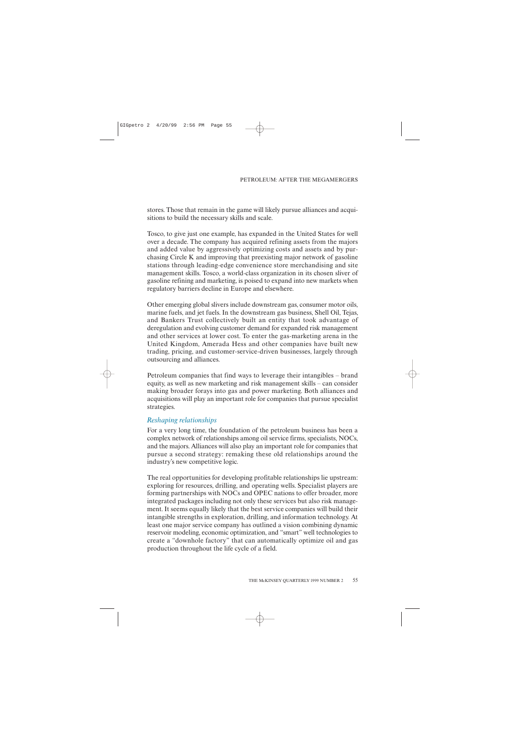stores. Those that remain in the game will likely pursue alliances and acquisitions to build the necessary skills and scale.

Tosco, to give just one example, has expanded in the United States for well over a decade. The company has acquired refining assets from the majors and added value by aggressively optimizing costs and assets and by purchasing Circle K and improving that preexisting major network of gasoline stations through leading-edge convenience store merchandising and site management skills. Tosco, a world-class organization in its chosen sliver of gasoline refining and marketing, is poised to expand into new markets when regulatory barriers decline in Europe and elsewhere.

Other emerging global slivers include downstream gas, consumer motor oils, marine fuels, and jet fuels. In the downstream gas business, Shell Oil, Tejas, and Bankers Trust collectively built an entity that took advantage of deregulation and evolving customer demand for expanded risk management and other services at lower cost. To enter the gas-marketing arena in the United Kingdom, Amerada Hess and other companies have built new trading, pricing, and customer-service-driven businesses, largely through outsourcing and alliances.

Petroleum companies that find ways to leverage their intangibles – brand equity, as well as new marketing and risk management skills – can consider making broader forays into gas and power marketing. Both alliances and acquisitions will play an important role for companies that pursue specialist strategies.

#### *Reshaping relationships*

For a very long time, the foundation of the petroleum business has been a complex network of relationships among oil service firms, specialists, NOCs, and the majors. Alliances will also play an important role for companies that pursue a second strategy: remaking these old relationships around the industry's new competitive logic.

The real opportunities for developing profitable relationships lie upstream: exploring for resources, drilling, and operating wells. Specialist players are forming partnerships with NOCs and OPEC nations to offer broader, more integrated packages including not only these services but also risk management. It seems equally likely that the best service companies will build their intangible strengths in exploration, drilling, and information technology. At least one major service company has outlined a vision combining dynamic reservoir modeling, economic optimization, and "smart" well technologies to create a "downhole factory" that can automatically optimize oil and gas production throughout the life cycle of a field.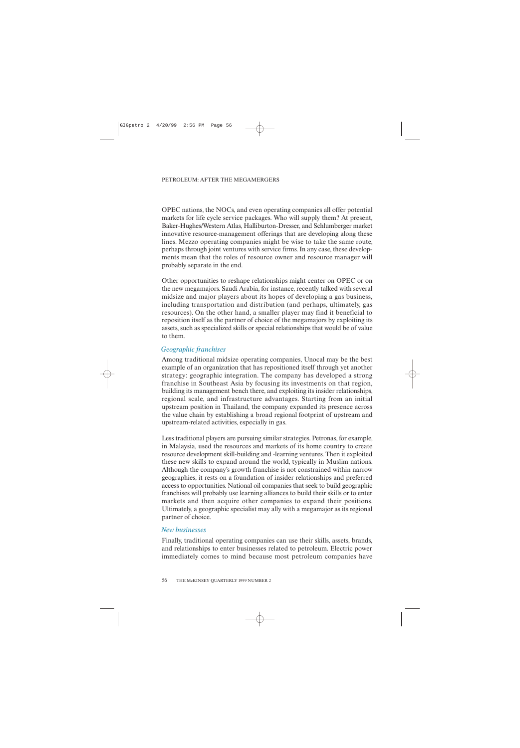#### PETROLEUM: AFTER THE MEGAMERGERS

OPEC nations, the NOCs, and even operating companies all offer potential markets for life cycle service packages. Who will supply them? At present, Baker-Hughes/Western Atlas, Halliburton-Dresser, and Schlumberger market innovative resource-management offerings that are developing along these lines. Mezzo operating companies might be wise to take the same route, perhaps through joint ventures with service firms. In any case, these developments mean that the roles of resource owner and resource manager will probably separate in the end.

Other opportunities to reshape relationships might center on OPEC or on the new megamajors. Saudi Arabia, for instance, recently talked with several midsize and major players about its hopes of developing a gas business, including transportation and distribution (and perhaps, ultimately, gas resources). On the other hand, a smaller player may find it beneficial to reposition itself as the partner of choice of the megamajors by exploiting its assets, such as specialized skills or special relationships that would be of value to them.

#### *Geographic franchises*

Among traditional midsize operating companies, Unocal may be the best example of an organization that has repositioned itself through yet another strategy: geographic integration. The company has developed a strong franchise in Southeast Asia by focusing its investments on that region, building its management bench there, and exploiting its insider relationships, regional scale, and infrastructure advantages. Starting from an initial upstream position in Thailand, the company expanded its presence across the value chain by establishing a broad regional footprint of upstream and upstream-related activities, especially in gas.

Less traditional players are pursuing similar strategies. Petronas, for example, in Malaysia, used the resources and markets of its home country to create resource development skill-building and -learning ventures. Then it exploited these new skills to expand around the world, typically in Muslim nations. Although the company's growth franchise is not constrained within narrow geographies, it rests on a foundation of insider relationships and preferred access to opportunities. National oil companies that seek to build geographic franchises will probably use learning alliances to build their skills or to enter markets and then acquire other companies to expand their positions. Ultimately, a geographic specialist may ally with a megamajor as its regional partner of choice.

#### *New businesses*

Finally, traditional operating companies can use their skills, assets, brands, and relationships to enter businesses related to petroleum. Electric power immediately comes to mind because most petroleum companies have